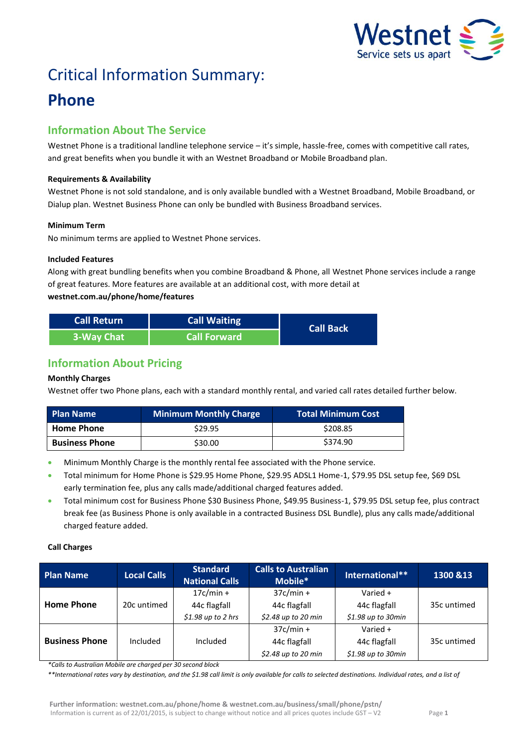

# Critical Information Summary:

## **Phone**

## **Information About The Service**

Westnet Phone is a traditional landline telephone service – it's simple, hassle-free, comes with competitive call rates, and great benefits when you bundle it with an Westnet Broadband or Mobile Broadband plan.

#### **Requirements & Availability**

Westnet Phone is not sold standalone, and is only available bundled with a Westnet Broadband, Mobile Broadband, or Dialup plan. Westnet Business Phone can only be bundled with Business Broadband services.

#### **Minimum Term**

No minimum terms are applied to Westnet Phone services.

#### **Included Features**

Along with great bundling benefits when you combine Broadband & Phone, all Westnet Phone services include a range of great features. More features are available at an additional cost, with more detail at **westnet.com.au/phone/home/features** 

| <b>Call Return</b> | <b>Call Waiting</b> | <b>Call Back</b> |  |
|--------------------|---------------------|------------------|--|
| 3-Way Chat         | <b>Call Forward</b> |                  |  |

## **Information About Pricing**

#### **Monthly Charges**

Westnet offer two Phone plans, each with a standard monthly rental, and varied call rates detailed further below.

| <b>Plan Name</b>      | <b>Minimum Monthly Charge</b> | <b>Total Minimum Cost</b> |
|-----------------------|-------------------------------|---------------------------|
| <b>Home Phone</b>     | \$29.95                       | \$208.85                  |
| <b>Business Phone</b> | \$30.00                       | \$374.90                  |

- Minimum Monthly Charge is the monthly rental fee associated with the Phone service.
- Total minimum for Home Phone is \$29.95 Home Phone, \$29.95 ADSL1 Home-1, \$79.95 DSL setup fee, \$69 DSL early termination fee, plus any calls made/additional charged features added.
- Total minimum cost for Business Phone \$30 Business Phone, \$49.95 Business-1, \$79.95 DSL setup fee, plus contract break fee (as Business Phone is only available in a contracted Business DSL Bundle), plus any calls made/additional charged feature added.

#### **Call Charges**

| <b>Plan Name</b>      | <b>Local Calls</b> | <b>Standard</b><br><b>National Calls</b> | <b>Calls to Australian</b><br>Mobile* | International**     | 1300 & 13   |
|-----------------------|--------------------|------------------------------------------|---------------------------------------|---------------------|-------------|
|                       |                    | $17c/min +$                              | $37c/min +$                           | Varied +            |             |
| <b>Home Phone</b>     | 20c untimed        | 44c flagfall                             | 44c flagfall                          | 44c flagfall        | 35c untimed |
|                       |                    | $$1.98$ up to 2 hrs                      | \$2.48 up to 20 min                   | $$1.98$ up to 30min |             |
|                       |                    |                                          | $37c/min +$                           | Varied +            |             |
| <b>Business Phone</b> | Included           | Included                                 | 44c flagfall                          | 44c flagfall        | 35c untimed |
|                       |                    |                                          | \$2.48 up to 20 min                   | $$1.98$ up to 30min |             |

*\*Calls to Australian Mobile are charged per 30 second block* 

*\*\*International rates vary by destination, and the \$1.98 call limit is only available for calls to selected destinations. Individual rates, and a list of*